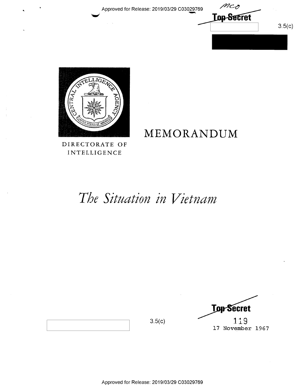Approved for Release: 2019/03/29 C03029769





DIRECTORATE OF INTELLIGENCE

# MEMORANDUM

# The Situation in Vietnam

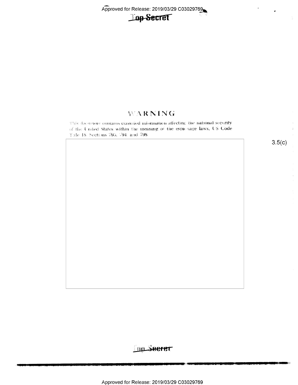Approved for Release: 2019/03/29 C03029769



## WARNING

This document contains classified information affecting the national security of the United States within the meaning of the espionage laws, US Code Tale 18. Sections 793, 794, and 798.

 $3.5(c)$ 

 $\overline{a}$ 

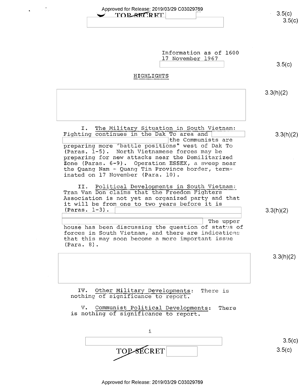| Approved for Release: 2019/03/29 C03029769<br><b>TOP-SECRET</b>                                                                                                                                                                                                                                                                                                                                                        | 3.5(c)<br>3.5(c) |
|------------------------------------------------------------------------------------------------------------------------------------------------------------------------------------------------------------------------------------------------------------------------------------------------------------------------------------------------------------------------------------------------------------------------|------------------|
| Information as of 1600<br>17 November 1967<br>HIGHLIGHTS                                                                                                                                                                                                                                                                                                                                                               | 3.5(c)           |
|                                                                                                                                                                                                                                                                                                                                                                                                                        | 3.3(h)(2)        |
| Ι.<br>The Military Situation in South Vietnam:<br>Fighting continues in the Dak To area and<br>the Communists are<br>preparing more "battle positions" west of Dak To<br>(Paras. 1-5). North Vietnamese forces may be<br>preparing for new attacks near the Demilitarized<br>Zone (Paras. 6-9). Operation ESSEX, a sweep near<br>the Quang Nam - Quang Tin Province border, term-<br>inated on 17 November (Para. 10). | 3.3(h)(2)        |
| II. Political Developments in South Vietnam:<br>Tran Van Don claims that the Freedom Fighters<br>Association is not yet an organized party and that<br>it will be from one to two years before it is<br>$(Paras. 1-3)$ .<br>The upper<br>house has been discussing the question of states of<br>forces in South Vietnam, and there are indications<br>that this may soon become a more important issue<br>(Para. 8).   | 3.3(h)(2)        |
|                                                                                                                                                                                                                                                                                                                                                                                                                        | 3.3(h)(2)        |
| Other Military Developments:<br>IV.<br>There is<br>nothing of significance to report.<br>Communist Political Developments:<br>$V_{\bullet}$<br>There<br>is nothing of significance to report.                                                                                                                                                                                                                          |                  |
| i                                                                                                                                                                                                                                                                                                                                                                                                                      | 3.5(c)           |
| <b>TOP-SECRET</b>                                                                                                                                                                                                                                                                                                                                                                                                      | 3.5(c)           |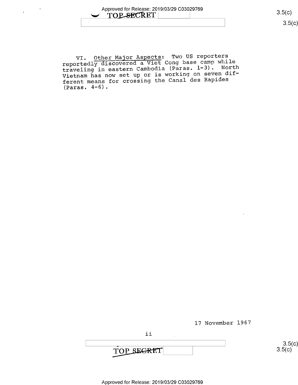VI. Other Major Aspects: Two US reporters reportedly discovered a Viet Cong base camp while traveling in eastern Cambodia (Paras. l-3). North Vietnam has now set up or is working on seven different means for crossing the Canal des Rapides (Paras. 4-6).

l7 November l967

 $\frac{3.5($ 

 $3.5(c)$ <br>3.5(c)

Approved for Release: 2019/03/29 C03029769

ii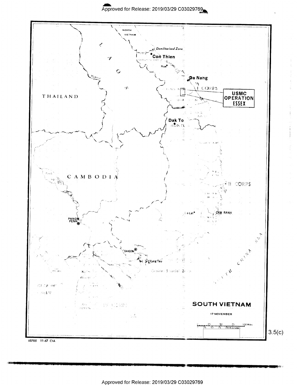

68705 11-67 CIA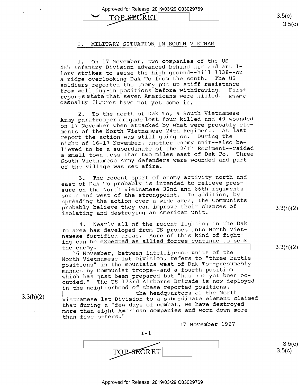Approved for Release: 2019/03/29 C03029769

 $\text{TOP}$   $\text{SECR}$   $\text{ET}$   $\qquad \qquad$  3.5(c) TOP SECRET

#### I. MILITARY SITUATION IN SOUTH VIETNAM

1. On l7 November, two companies of the US 4th Infantry Division advanced behind air and artillery strikes to seize the high ground-—hill 1338--on a ridge overlooking Dak To from the south. The US soldiers reported the enemy put up stiff resistance from well dug-in positions before withdrawing. First reports state that seven Americans were killed. Enemy casualty figures have not yet come in.

2. To the north of Dak To, a South Vietnamese Army paratrooper brigade lost four killed and 40 wounded on 17 November when attacked by what were probably ele ments of the North Vietnamese 24th Regiment. At last report the action was still going on. During the night of 16-17 November, another enemy unit—-also believed to be a subordinate of the 24th Regiment-—raided <sup>a</sup>small town less than two miles east of Dak To. Three South Vietnamese Army defenders were wounded and part of the village was set afire.

3. The recent spurt of enemy activity north and east of Dak To probably is intended to relieve pressure on the North Vietnamese 32nd and 66th regiments south and west of the strongpoint. In addition, by spreading the action over a wide area, the Communists<br>probably believe they can improve their chances of probably believe they can improve their chances of and gixh (2) isolating and destroying an American unit.

4. Nearly all of the recent fighting in the Dak To area has developed from US probes into North Vietnamese fortified areas. More of this kind of fighting can be expected as allied forces continue to seek<br>the enemy. the enemy.  $\qquad \qquad \qquad \text{3.3(n)(2)}$ 

It November, between intelligence units of the intelligence is the set of the set of the set of the set of the set of the set of the set of the set of the set of the set of the set of the set of the set of the set of the s North Vietnamese lst Division, refers to "three battle positions" in the mountains west of Dak To--presumably manned by Communist troops—-and a fourth position which has just been prepared but "has not yet been occupied." The US l73rd Airborne Brigade is now deployed

in the neighborhood of these reported positions.<br>
I the headquarters of the North gixhxz) 1 'the headquarters of the North ' Vietnamese lst Division to a subordinate element claimed that during a "few days of combat, we have destroyed more than eight American companies and worn down more than five others."

l7 November l967

 $\begin{picture}(150,40) \put(0,0){\line(1,0){100}} \put(15,0){\line(1,0){100}} \put(15,0){\line(1,0){100}} \put(15,0){\line(1,0){100}} \put(15,0){\line(1,0){100}} \put(15,0){\line(1,0){100}} \put(15,0){\line(1,0){100}} \put(15,0){\line(1,0){100}} \put(15,0){\line(1,0){100}} \put(15,0){\line(1,0){100}} \put(15,0){\line(1,0){100}}$ 

 $I-1$ 

 $3.5(c)$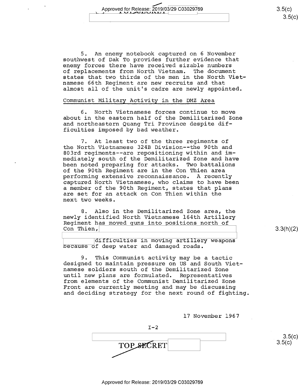An enemy notebook captured on 6 November southwest of Dak To provides further evidence that enemy forces there have received sizable numbers of replacements from North Vietnam. The document states that two thirds of the men in the North Vietnamese 66th Regiment are new recruits and that almost all of the unit's cadre are newly appointed.

#### Communist Military Activity in the DMZ Area

6. North Vietnamese forces continue to move about in the eastern half of the Demilitarized Zone and northeastern Quang Tri Province despite difficulties imposed by bad weather.

7. At least two of the three regiments of the North Vietnamese 324B Division--the 90th and 803rd regiments-—are repositioning within and immediately south of the Demilitarized Zone and have been noted preparing for attacks. Two battalions of the 90th Regiment are in the Con Thien area performing extensive reconnaissance. A recently captured North Vietnamese, who claims to have been a member of the 90th Regiment, states that plans are set for an attack on Con Thien within the next two weeks.

8. Also in the Demilitarized Zone area, the newly identified North Vietnamese 164th Artillery Regiment has moved guns into positions north of Con Thien,

 $3.3(h)(2)$ 

difficulties in moving artillery weapons because of deep water and damaged roads.

9. This Communist activity may be a tactic designed to maintain pressure on US and South Vietnamese soldiers south of the Demilitarized Zone<br>until new plans are formulated. Representatives until new plans are formulated. from elements of the Communist Demilitarized Zone Front are currently meeting and may be discussing and deciding strategy for the next round of fighting.

17 November l967

 $I-2$  $\qquad \qquad \overline{S}(x)$ TOP SECRET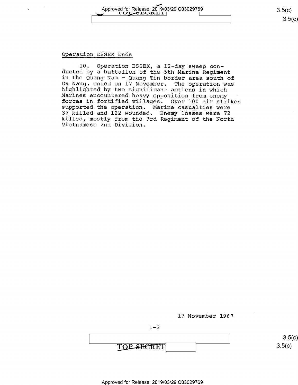# Approved for Release: 2019/03/29 C03029769 3.5(C)<br>2.5(C) 3.5(C) "1 1 1 - 0 1 1

### Qperation ESSEX Ends

l0. Operation ESSEX, a l2-day sweep con- ducted by a battalion of the 5th Marine Regiment Da Nang, ended on 17 November. The operation was<br>highlighted by two significant actions in which<br>Marines encountered heavy opposition from enemy<br>forces in fortified villages. Over 100 air strikes supported the operation. Marine casualties were<br>37 killed and 122 wounded. Enemy losses were 72 killed, mostly from the 3rd Regiment of the North Vietnamese 2nd Division.

l7 November 1967



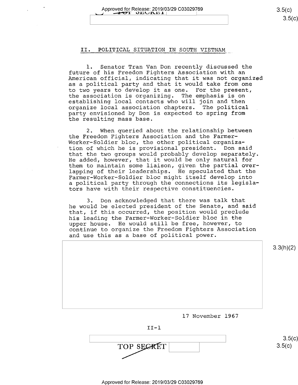### II. POLITICAL SITUATION IN SOUTH VIETNAM

l. Senator Tran Van Don recently discussed the<br>future of his Freedom Fighters Association with an American official, indicating that it was not organized as a political party and that it would take from one to two years to develop it as one. For the present, the association is organizing. The emphasis is on establishing local contacts who will join and then organize local association chapters. The political \_ party envisioned by Don is expected to spring from the resulting mass base.

2. When queried about the relationship between the Freedom Fighters Association and the Farmer-Worker—Soldier bloc, the other political organization of which he is provisional president. Don said that the two groups would probably develop separately. He added, however, that it would be only natural for them to maintain some liaison, given the partial overlapping of their leaderships. He speculated that the Farmer-Worker-Soldier bloc might itself develop into a political party through the connections its legislators have with their respective constituencies.

3. Don acknowledged that there was talk that he would be elected president of the Senate, and said that, if this occurred, the position would preclude his leading the Farmer-Worker—Soldier bloc in the upper house. He would still be free, however, to continue to organize the Freedom Fighters Association and use this as a base of political power.

 $3.3(h)(2)$ 17 November 1967

 $II-1$ 

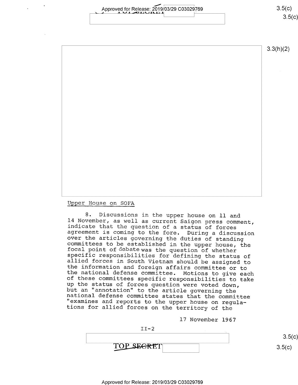Approved for Release:  $2019/03/29$   $0.3029769$   $3.5(c)$ <u>၁.၁</u>(၄)

3.3(h)(2)

Upper House on SOFA

<sup>8</sup>. Discussions in the upper house on 11 and<br>14 November, as well as current Saigon press comment,<br>indicate that the question of a status of forces<br>agreement is coming to the fore. During a discussion<br>over the articles go

l7 November 1967

TOP SE<del>CRE</del>T

 $3.5(c)$  $3.5(c)$ 

 $II-2$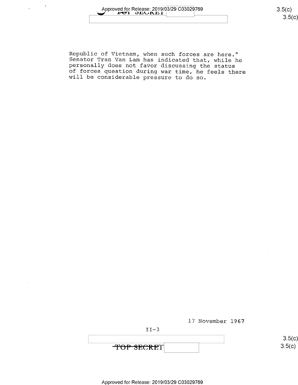$\bar{z}$ 

Republic of Vietnam, when such forces are here."<br>Senator Tran Van Lam has indicated that, while he<br>personally does not favor discussing the status<br>of forces question during war time, he feels there<br>will be considerable pre





TOP SECRET

 $3.5$ C)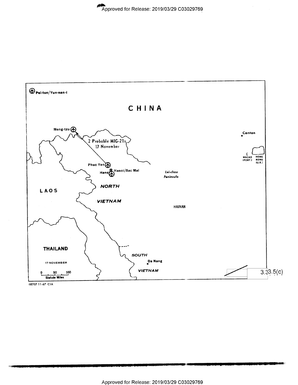

68707 11-67 CIA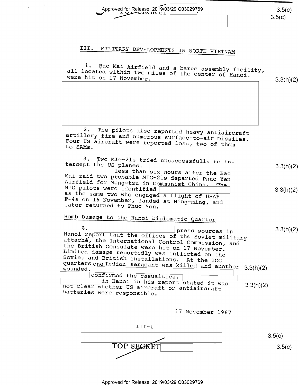| Approved for Release: 2019/03/29 C03029769 | 350<br>3.5(c) |
|--------------------------------------------|---------------|
|                                            |               |

# III. MILITARY DEVELOPMENTS IN NORTH VIETNAM

 $\frac{1}{2} \left( \frac{1}{2} \right) \frac{1}{2}$ 

 $\begin{array}{c} 1 \\ 1 \\ 2 \end{array}$ 

| all located within two miles of the center of Hanoi,<br>were hit on 17 November.                              | 3.3(h)(2) |
|---------------------------------------------------------------------------------------------------------------|-----------|
|                                                                                                               |           |
|                                                                                                               |           |
|                                                                                                               |           |
|                                                                                                               |           |
| 2.<br>The pilots also reported heavy antiaircraft<br>artillery fire and numerous surface-to-air missiles.     |           |
| Four US aircraft were reported lost, two of them<br>to SAMs.                                                  |           |
|                                                                                                               |           |
| з.<br>Two MIG-21s tried unsuccessfully to in-<br>tercept the US planes.                                       |           |
| less than six nours after the Bac                                                                             | 3.3(h)(2) |
| Mai raid two probable MIG-21s departed Phuc Yen<br>Airfield for Meng-tzu in Communist China. The              |           |
| MIG pilots were identified                                                                                    | 3.3(h)(2) |
| as the same two who engaged a flight of USAF<br>F-4s on 16 November, landed at Ning-ming, and                 |           |
| later returned to Phuc Yen.                                                                                   |           |
| Bomb Damage to the Hanoi Diplomatic Quarter                                                                   |           |
| 4.<br>press sources in                                                                                        | 3.3(h)(2) |
| Hanoi report that the offices of the Soviet military                                                          |           |
| attache, the International Control Commission, and<br>the British Consulate were hit on 17 November.          |           |
| Limited damage reportedly was inflicted on the                                                                |           |
| Soviet and British installations. At the ICC<br>quarters one Indian sergeant was killed and another 3.3(h)(2) |           |
|                                                                                                               |           |
| confirmed the casualties.<br>in Hanoi in his report stated it was                                             |           |
| 3.3(h)(2)<br>not clear whether US aircraft or antiaircraft                                                    |           |
| batteries were responsible.                                                                                   |           |
|                                                                                                               |           |
| 17 November 1967                                                                                              |           |

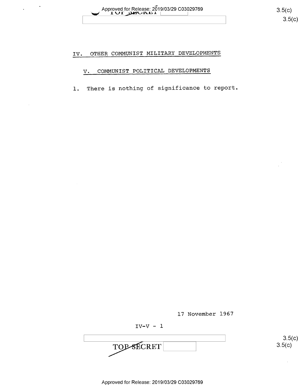$\sim$ 

 $3.5(c)$ 

 $3.5(c)$ 

#### OTHER COMMUNIST MILITARY DEVELOPMENTS IV.

#### COMMUNIST POLITICAL DEVELOPMENTS V.

There is nothing of significance to report.  $1. \,$ 

17 November 1967

 $IV-V - 1$ 

TOP SECRET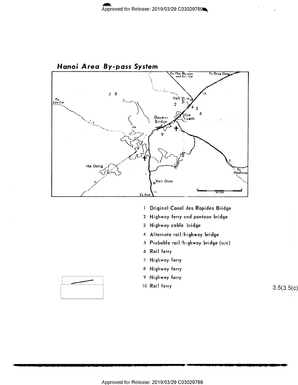

- 1 Original Canal des Rapides Bridge
- 2 Highway ferry and pontoon bridge
- 3 Highway cable bridge
- 4 Alternate rail/highway bridge
- 5 Probable rail/highway bridge (u/c)
- 6 Rail ferry
- 7 Highway ferry
- 8 Highway ferry
- 9 Highway ferry
- 10 Rail ferry



 $3.5(3.5(c)$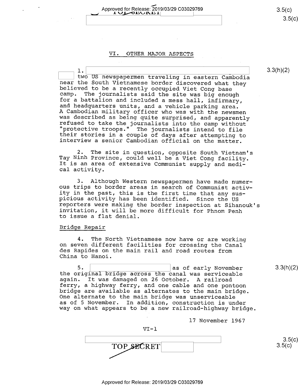Approved for Release: 2019/03/29 C03029769 3.5(c) 3.5(c) 3.5(c) Approved for Release: 2019/03/29 C03029769 3.5(c)<br>3.5(c) 3.5(c)

#### VI. OTHER MAJOR ASPECTS

1. 1. 3.3(h)(2) 1. 3.3(h)(2) two US newspapermen traveling in eastern Cambodia two US newspapermen traveling in eastern Cambodia<br>near the South Vietnamese border discovered what they<br>believed to be a recently occupied Viet Cong base<br>camp. The journalists said the site was big enough<br>for a battalion a

2. The site in question, opposite South Vietnam's Tay Ninh Province, could well be a Viet Cong facility. It is an area of extensive Communist supply and medi- cal activity.

3. Although Western newspapermen have made numer-<br>ous trips to border areas in search of Communist activ-<br>ity in the past, this is the first time that any suspicious activity has been identified. Since the US<br>reporters were making the border inspection at Sihanouk's<br>invitation, it will be more difficult for Phnom Penh<br>to issue a flat denial.

#### Bridge Repair

4. The North Vietnamese now have or are working on seven different facilities for crossing the Canal des Rapides on the main rail and road routes from China to Hanoi.

5. 5.  $\vert$  as of early November 3.3(h)(2)<br>the original bridge across the canal was serviceable<br>again. It was damaged on 26 October. A railroad<br>ferry, a highway ferry, and one cable and one pontoon bridge are available as alternates to the main bridge.<br>One alternate to the main bridge was unserviceable<br>as of 5 November. In addition, construction is under way on what appears to be a new railroad-highway bridge.

l7 November 1967

 $VI-1$ 

TOP SECRET 3.5(c)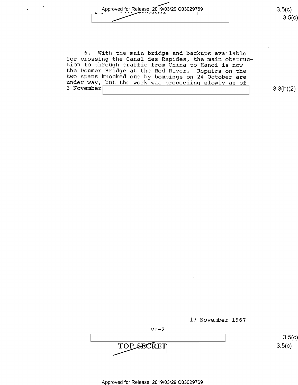

6. With the main bridge and backups available<br>for crossing the Canal des Rapides, the main obstruc-<br>tion to through traffic from China to Hanoi is now<br>the Doumer Bridge at the Red River. Repairs on the<br>two spans knocked ou 3 November'

3.3(h)(2)

 $3.5(c)$ 

 $3.5(c)$ 



 $VI-2$ TOP SECRET